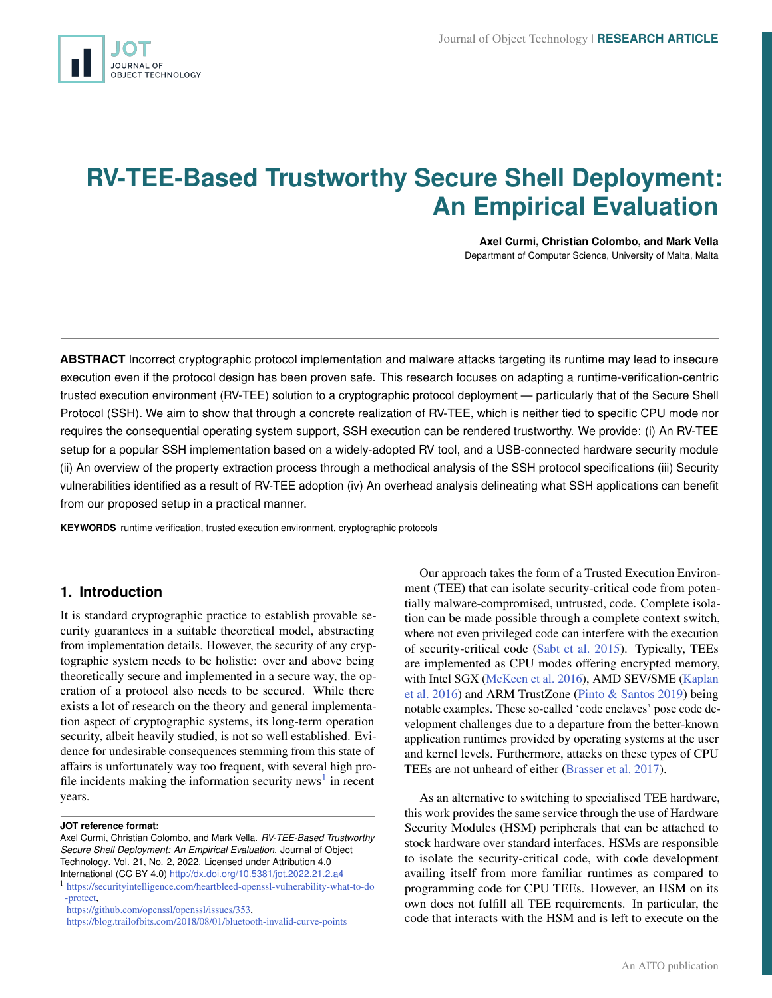# <span id="page-0-0"></span>**RV-TEE-Based Trustworthy Secure Shell Deployment: An Empirical Evaluation**

**Axel Curmi, Christian Colombo, and Mark Vella** Department of Computer Science, University of Malta, Malta

**ABSTRACT** Incorrect cryptographic protocol implementation and malware attacks targeting its runtime may lead to insecure execution even if the protocol design has been proven safe. This research focuses on adapting a runtime-verification-centric trusted execution environment (RV-TEE) solution to a cryptographic protocol deployment — particularly that of the Secure Shell Protocol (SSH). We aim to show that through a concrete realization of RV-TEE, which is neither tied to specific CPU mode nor requires the consequential operating system support, SSH execution can be rendered trustworthy. We provide: (i) An RV-TEE setup for a popular SSH implementation based on a widely-adopted RV tool, and a USB-connected hardware security module (ii) An overview of the property extraction process through a methodical analysis of the SSH protocol specifications (iii) Security vulnerabilities identified as a result of RV-TEE adoption (iv) An overhead analysis delineating what SSH applications can benefit from our proposed setup in a practical manner.

**KEYWORDS** runtime verification, trusted execution environment, cryptographic protocols

# **1. Introduction**

It is standard cryptographic practice to establish provable security guarantees in a suitable theoretical model, abstracting from implementation details. However, the security of any cryptographic system needs to be holistic: over and above being theoretically secure and implemented in a secure way, the operation of a protocol also needs to be secured. While there exists a lot of research on the theory and general implementation aspect of cryptographic systems, its long-term operation security, albeit heavily studied, is not so well established. Evidence for undesirable consequences stemming from this state of affairs is unfortunately way too frequent, with several high profile incidents making the information security news<sup>1</sup> in recent years.

[https://github.com/openssl/openssl/issues/353,](https://github.com/openssl/openssl/issues/353)

Our approach takes the form of a Trusted Execution Environment (TEE) that can isolate security-critical code from potentially malware-compromised, untrusted, code. Complete isolation can be made possible through a complete context switch, where not even privileged code can interfere with the execution of security-critical code [\(Sabt et al.](#page-14-0) [2015\)](#page-14-0). Typically, TEEs are implemented as CPU modes offering encrypted memory, with Intel SGX [\(McKeen et al.](#page-14-1) [2016\)](#page-14-1), AMD SEV/SME [\(Kaplan](#page-14-2) [et al.](#page-14-2) [2016\)](#page-14-2) and ARM TrustZone [\(Pinto & Santos](#page-14-3) [2019\)](#page-14-3) being notable examples. These so-called 'code enclaves' pose code development challenges due to a departure from the better-known application runtimes provided by operating systems at the user and kernel levels. Furthermore, attacks on these types of CPU TEEs are not unheard of either [\(Brasser et al.](#page-13-0) [2017\)](#page-13-0).

As an alternative to switching to specialised TEE hardware, this work provides the same service through the use of Hardware Security Modules (HSM) peripherals that can be attached to stock hardware over standard interfaces. HSMs are responsible to isolate the security-critical code, with code development availing itself from more familiar runtimes as compared to programming code for CPU TEEs. However, an HSM on its own does not fulfill all TEE requirements. In particular, the code that interacts with the HSM and is left to execute on the

**JOT reference format:**

Axel Curmi, Christian Colombo, and Mark Vella. *RV-TEE-Based Trustworthy Secure Shell Deployment: An Empirical Evaluation*. Journal of Object Technology. Vol. 21, No. 2, 2022. Licensed under Attribution 4.0 International (CC BY 4.0) <http://dx.doi.org/10.5381/jot.2022.21.2.a4>

<sup>1</sup> [https://securityintelligence.com/heartbleed-openssl-vulnerability-what-to-do](https://securityintelligence.com/heartbleed-openssl-vulnerability-what-to-do-protect) [-protect,](https://securityintelligence.com/heartbleed-openssl-vulnerability-what-to-do-protect)

<https://blog.trailofbits.com/2018/08/01/bluetooth-invalid-curve-points>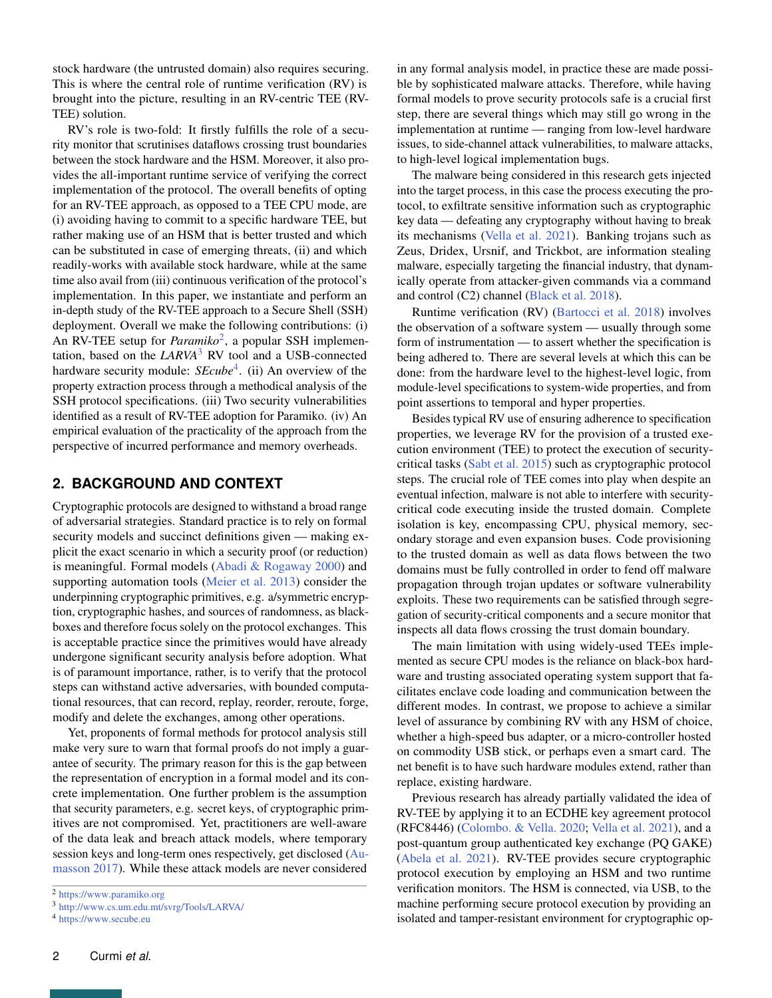stock hardware (the untrusted domain) also requires securing. This is where the central role of runtime verification (RV) is brought into the picture, resulting in an RV-centric TEE (RV-TEE) solution.

RV's role is two-fold: It firstly fulfills the role of a security monitor that scrutinises dataflows crossing trust boundaries between the stock hardware and the HSM. Moreover, it also provides the all-important runtime service of verifying the correct implementation of the protocol. The overall benefits of opting for an RV-TEE approach, as opposed to a TEE CPU mode, are (i) avoiding having to commit to a specific hardware TEE, but rather making use of an HSM that is better trusted and which can be substituted in case of emerging threats, (ii) and which readily-works with available stock hardware, while at the same time also avail from (iii) continuous verification of the protocol's implementation. In this paper, we instantiate and perform an in-depth study of the RV-TEE approach to a Secure Shell (SSH) deployment. Overall we make the following contributions: (i) An RV-TEE setup for *Paramiko*<sup>[2](#page-0-0)</sup>, a popular SSH implementation, based on the *LARVA*[3](#page-0-0) RV tool and a USB-connected hardware security module: *SEcube*[4](#page-0-0) . (ii) An overview of the property extraction process through a methodical analysis of the SSH protocol specifications. (iii) Two security vulnerabilities identified as a result of RV-TEE adoption for Paramiko. (iv) An empirical evaluation of the practicality of the approach from the perspective of incurred performance and memory overheads.

# **2. BACKGROUND AND CONTEXT**

Cryptographic protocols are designed to withstand a broad range of adversarial strategies. Standard practice is to rely on formal security models and succinct definitions given — making explicit the exact scenario in which a security proof (or reduction) is meaningful. Formal models [\(Abadi & Rogaway](#page-13-1) [2000\)](#page-13-1) and supporting automation tools [\(Meier et al.](#page-14-4) [2013\)](#page-14-4) consider the underpinning cryptographic primitives, e.g. a/symmetric encryption, cryptographic hashes, and sources of randomness, as blackboxes and therefore focus solely on the protocol exchanges. This is acceptable practice since the primitives would have already undergone significant security analysis before adoption. What is of paramount importance, rather, is to verify that the protocol steps can withstand active adversaries, with bounded computational resources, that can record, replay, reorder, reroute, forge, modify and delete the exchanges, among other operations.

Yet, proponents of formal methods for protocol analysis still make very sure to warn that formal proofs do not imply a guarantee of security. The primary reason for this is the gap between the representation of encryption in a formal model and its concrete implementation. One further problem is the assumption that security parameters, e.g. secret keys, of cryptographic primitives are not compromised. Yet, practitioners are well-aware of the data leak and breach attack models, where temporary session keys and long-term ones respectively, get disclosed [\(Au](#page-13-2)[masson](#page-13-2) [2017\)](#page-13-2). While these attack models are never considered

The malware being considered in this research gets injected into the target process, in this case the process executing the protocol, to exfiltrate sensitive information such as cryptographic key data — defeating any cryptography without having to break its mechanisms [\(Vella et al.](#page-14-5) [2021\)](#page-14-5). Banking trojans such as Zeus, Dridex, Ursnif, and Trickbot, are information stealing malware, especially targeting the financial industry, that dynamically operate from attacker-given commands via a command and control (C2) channel [\(Black et al.](#page-13-3) [2018\)](#page-13-3).

Runtime verification (RV) [\(Bartocci et al.](#page-13-4) [2018\)](#page-13-4) involves the observation of a software system — usually through some form of instrumentation — to assert whether the specification is being adhered to. There are several levels at which this can be done: from the hardware level to the highest-level logic, from module-level specifications to system-wide properties, and from point assertions to temporal and hyper properties.

Besides typical RV use of ensuring adherence to specification properties, we leverage RV for the provision of a trusted execution environment (TEE) to protect the execution of securitycritical tasks [\(Sabt et al.](#page-14-0) [2015\)](#page-14-0) such as cryptographic protocol steps. The crucial role of TEE comes into play when despite an eventual infection, malware is not able to interfere with securitycritical code executing inside the trusted domain. Complete isolation is key, encompassing CPU, physical memory, secondary storage and even expansion buses. Code provisioning to the trusted domain as well as data flows between the two domains must be fully controlled in order to fend off malware propagation through trojan updates or software vulnerability exploits. These two requirements can be satisfied through segregation of security-critical components and a secure monitor that inspects all data flows crossing the trust domain boundary.

The main limitation with using widely-used TEEs implemented as secure CPU modes is the reliance on black-box hardware and trusting associated operating system support that facilitates enclave code loading and communication between the different modes. In contrast, we propose to achieve a similar level of assurance by combining RV with any HSM of choice, whether a high-speed bus adapter, or a micro-controller hosted on commodity USB stick, or perhaps even a smart card. The net benefit is to have such hardware modules extend, rather than replace, existing hardware.

Previous research has already partially validated the idea of RV-TEE by applying it to an ECDHE key agreement protocol (RFC8446) [\(Colombo. & Vella.](#page-14-6) [2020;](#page-14-6) [Vella et al.](#page-14-5) [2021\)](#page-14-5), and a post-quantum group authenticated key exchange (PQ GAKE) [\(Abela et al.](#page-13-5) [2021\)](#page-13-5). RV-TEE provides secure cryptographic protocol execution by employing an HSM and two runtime verification monitors. The HSM is connected, via USB, to the machine performing secure protocol execution by providing an isolated and tamper-resistant environment for cryptographic op-

<sup>2</sup> <https://www.paramiko.org>

<sup>3</sup> <http://www.cs.um.edu.mt/svrg/Tools/LARVA/>

<sup>4</sup> <https://www.secube.eu>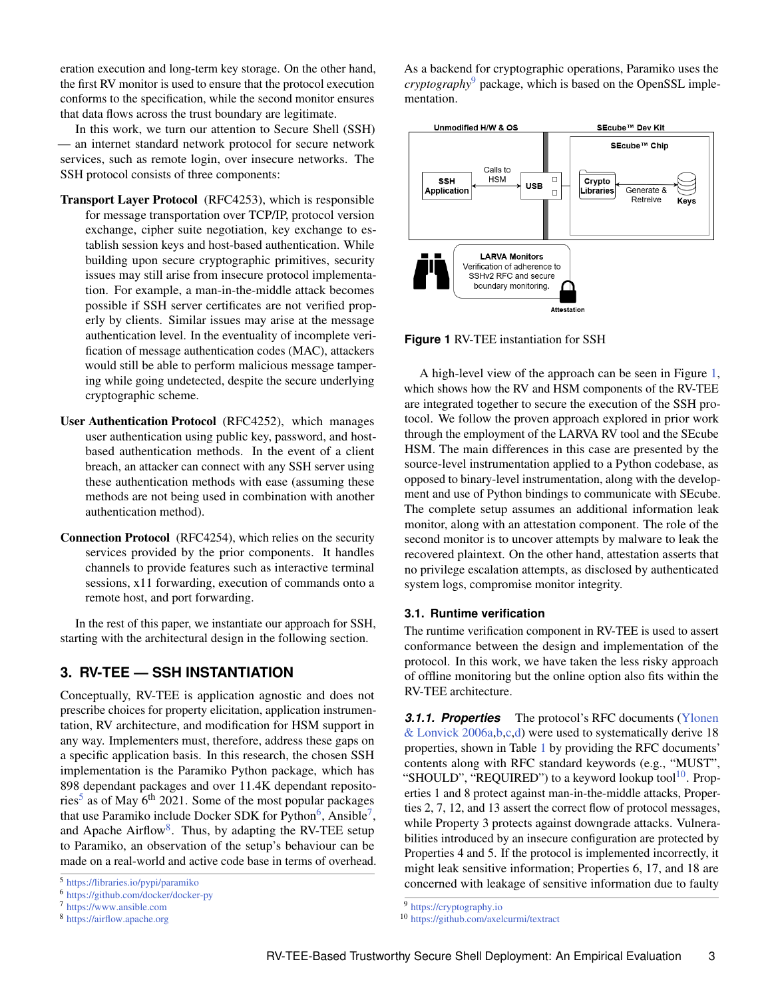eration execution and long-term key storage. On the other hand, the first RV monitor is used to ensure that the protocol execution conforms to the specification, while the second monitor ensures that data flows across the trust boundary are legitimate.

In this work, we turn our attention to Secure Shell (SSH) an internet standard network protocol for secure network services, such as remote login, over insecure networks. The SSH protocol consists of three components:

- Transport Layer Protocol (RFC4253), which is responsible for message transportation over TCP/IP, protocol version exchange, cipher suite negotiation, key exchange to establish session keys and host-based authentication. While building upon secure cryptographic primitives, security issues may still arise from insecure protocol implementation. For example, a man-in-the-middle attack becomes possible if SSH server certificates are not verified properly by clients. Similar issues may arise at the message authentication level. In the eventuality of incomplete verification of message authentication codes (MAC), attackers would still be able to perform malicious message tampering while going undetected, despite the secure underlying cryptographic scheme.
- User Authentication Protocol (RFC4252), which manages user authentication using public key, password, and hostbased authentication methods. In the event of a client breach, an attacker can connect with any SSH server using these authentication methods with ease (assuming these methods are not being used in combination with another authentication method).
- Connection Protocol (RFC4254), which relies on the security services provided by the prior components. It handles channels to provide features such as interactive terminal sessions, x11 forwarding, execution of commands onto a remote host, and port forwarding.

In the rest of this paper, we instantiate our approach for SSH, starting with the architectural design in the following section.

# **3. RV-TEE — SSH INSTANTIATION**

Conceptually, RV-TEE is application agnostic and does not prescribe choices for property elicitation, application instrumentation, RV architecture, and modification for HSM support in any way. Implementers must, therefore, address these gaps on a specific application basis. In this research, the chosen SSH implementation is the Paramiko Python package, which has 898 dependant packages and over 11.4K dependant reposito-ries<sup>[5](#page-0-0)</sup> as of May 6<sup>th</sup> 2021. Some of the most popular packages that use Paramiko include Docker SDK for Python<sup>[6](#page-0-0)</sup>, Ansible<sup>[7](#page-0-0)</sup>, and Apache Airflow<sup>[8](#page-0-0)</sup>. Thus, by adapting the RV-TEE setup to Paramiko, an observation of the setup's behaviour can be made on a real-world and active code base in terms of overhead.

<sup>7</sup> <https://www.ansible.com>

As a backend for cryptographic operations, Paramiko uses the *cryptography*[9](#page-0-0) package, which is based on the OpenSSL implementation.

<span id="page-2-0"></span>

**Figure 1** RV-TEE instantiation for SSH

A high-level view of the approach can be seen in Figure [1,](#page-2-0) which shows how the RV and HSM components of the RV-TEE are integrated together to secure the execution of the SSH protocol. We follow the proven approach explored in prior work through the employment of the LARVA RV tool and the SEcube HSM. The main differences in this case are presented by the source-level instrumentation applied to a Python codebase, as opposed to binary-level instrumentation, along with the development and use of Python bindings to communicate with SEcube. The complete setup assumes an additional information leak monitor, along with an attestation component. The role of the second monitor is to uncover attempts by malware to leak the recovered plaintext. On the other hand, attestation asserts that no privilege escalation attempts, as disclosed by authenticated system logs, compromise monitor integrity.

## <span id="page-2-1"></span>**3.1. Runtime verification**

The runtime verification component in RV-TEE is used to assert conformance between the design and implementation of the protocol. In this work, we have taken the less risky approach of offline monitoring but the online option also fits within the RV-TEE architecture.

*3.1.1. Properties* The protocol's RFC documents [\(Ylonen](#page-14-7) [& Lonvick](#page-14-7) [2006a,](#page-14-7)[b](#page-14-8)[,c](#page-14-9)[,d\)](#page-14-10) were used to systematically derive 18 properties, shown in Table [1](#page-3-0) by providing the RFC documents' contents along with RFC standard keywords (e.g., "MUST", "SHOULD", "REQUIRED") to a keyword lookup tool<sup>[10](#page-0-0)</sup>. Properties 1 and 8 protect against man-in-the-middle attacks, Properties 2, 7, 12, and 13 assert the correct flow of protocol messages, while Property 3 protects against downgrade attacks. Vulnerabilities introduced by an insecure configuration are protected by Properties 4 and 5. If the protocol is implemented incorrectly, it might leak sensitive information; Properties 6, 17, and 18 are concerned with leakage of sensitive information due to faulty

<sup>5</sup> <https://libraries.io/pypi/paramiko>

<sup>6</sup> <https://github.com/docker/docker-py>

<sup>8</sup> <https://airflow.apache.org>

<sup>9</sup> <https://cryptography.io>

<sup>10</sup> <https://github.com/axelcurmi/textract>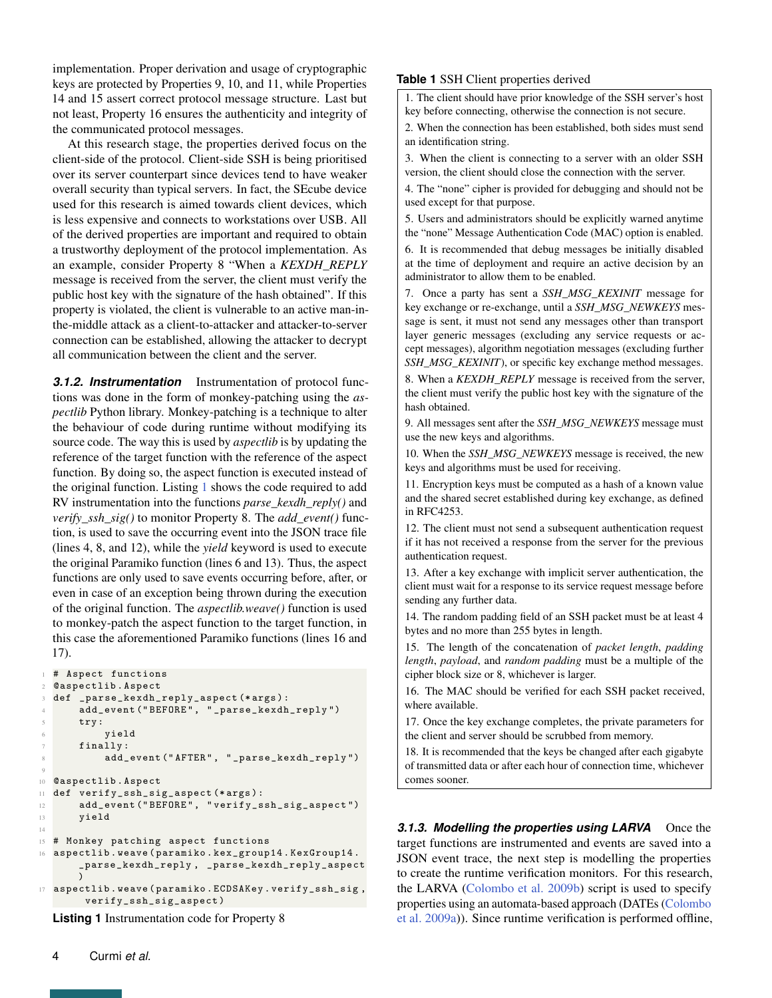implementation. Proper derivation and usage of cryptographic keys are protected by Properties 9, 10, and 11, while Properties 14 and 15 assert correct protocol message structure. Last but not least, Property 16 ensures the authenticity and integrity of the communicated protocol messages.

At this research stage, the properties derived focus on the client-side of the protocol. Client-side SSH is being prioritised over its server counterpart since devices tend to have weaker overall security than typical servers. In fact, the SEcube device used for this research is aimed towards client devices, which is less expensive and connects to workstations over USB. All of the derived properties are important and required to obtain a trustworthy deployment of the protocol implementation. As an example, consider Property 8 "When a *KEXDH\_REPLY* message is received from the server, the client must verify the public host key with the signature of the hash obtained". If this property is violated, the client is vulnerable to an active man-inthe-middle attack as a client-to-attacker and attacker-to-server connection can be established, allowing the attacker to decrypt all communication between the client and the server.

*3.1.2. Instrumentation* Instrumentation of protocol functions was done in the form of monkey-patching using the *aspectlib* Python library. Monkey-patching is a technique to alter the behaviour of code during runtime without modifying its source code. The way this is used by *aspectlib* is by updating the reference of the target function with the reference of the aspect function. By doing so, the aspect function is executed instead of the original function. Listing [1](#page-3-1) shows the code required to add RV instrumentation into the functions *parse\_kexdh\_reply()* and *verify\_ssh\_sig()* to monitor Property 8. The *add\_event()* function, is used to save the occurring event into the JSON trace file (lines 4, 8, and 12), while the *yield* keyword is used to execute the original Paramiko function (lines 6 and 13). Thus, the aspect functions are only used to save events occurring before, after, or even in case of an exception being thrown during the execution of the original function. The *aspectlib.weave()* function is used to monkey-patch the aspect function to the target function, in this case the aforementioned Paramiko functions (lines 16 and 17).

```
# Aspect functions
2 @aspectlib . Aspect
  def _parse_kexdh_reply_aspect (*args):
       add_event ("BEFORE", "_parse_kexdh_reply")
       try:
           6 yield
       finally:
           add_event ("AFTER", "_parse_kexdh_reply")
9
10 @aspectlib . Aspect
11 def verify_ssh_sig_aspect (∗ args ):
12 add_event (" BEFORE ", " verify_ssh_sig_aspect ")
13 yield
14
15 # Monkey patching aspect functions
16 aspectlib . weave ( paramiko . kex_group14 . KexGroup14 .
       _parse_kexdh_reply , _parse_kexdh_reply_aspect
       )
17 aspectlib . weave ( paramiko . ECDSAKey . verify_ssh_sig ,
        verify_ssh_sig_aspect )
```
**Listing 1** Instrumentation code for Property 8

## <span id="page-3-0"></span>**Table 1** SSH Client properties derived

1. The client should have prior knowledge of the SSH server's host key before connecting, otherwise the connection is not secure.

2. When the connection has been established, both sides must send an identification string.

3. When the client is connecting to a server with an older SSH version, the client should close the connection with the server.

4. The "none" cipher is provided for debugging and should not be used except for that purpose.

5. Users and administrators should be explicitly warned anytime the "none" Message Authentication Code (MAC) option is enabled.

6. It is recommended that debug messages be initially disabled at the time of deployment and require an active decision by an administrator to allow them to be enabled.

7. Once a party has sent a *SSH\_MSG\_KEXINIT* message for key exchange or re-exchange, until a *SSH\_MSG\_NEWKEYS* message is sent, it must not send any messages other than transport layer generic messages (excluding any service requests or accept messages), algorithm negotiation messages (excluding further *SSH\_MSG\_KEXINIT*), or specific key exchange method messages.

8. When a *KEXDH\_REPLY* message is received from the server, the client must verify the public host key with the signature of the hash obtained.

9. All messages sent after the *SSH\_MSG\_NEWKEYS* message must use the new keys and algorithms.

10. When the *SSH\_MSG\_NEWKEYS* message is received, the new keys and algorithms must be used for receiving.

11. Encryption keys must be computed as a hash of a known value and the shared secret established during key exchange, as defined in RFC4253.

12. The client must not send a subsequent authentication request if it has not received a response from the server for the previous authentication request.

13. After a key exchange with implicit server authentication, the client must wait for a response to its service request message before sending any further data.

14. The random padding field of an SSH packet must be at least 4 bytes and no more than 255 bytes in length.

15. The length of the concatenation of *packet length*, *padding length*, *payload*, and *random padding* must be a multiple of the cipher block size or 8, whichever is larger.

16. The MAC should be verified for each SSH packet received, where available.

17. Once the key exchange completes, the private parameters for the client and server should be scrubbed from memory.

18. It is recommended that the keys be changed after each gigabyte of transmitted data or after each hour of connection time, whichever comes sooner.

**3.1.3. Modelling the properties using LARVA** Once the target functions are instrumented and events are saved into a JSON event trace, the next step is modelling the properties to create the runtime verification monitors. For this research, the LARVA [\(Colombo et al.](#page-13-6) [2009b\)](#page-13-6) script is used to specify properties using an automata-based approach (DATEs [\(Colombo](#page-13-7) [et al.](#page-13-7) [2009a\)](#page-13-7)). Since runtime verification is performed offline,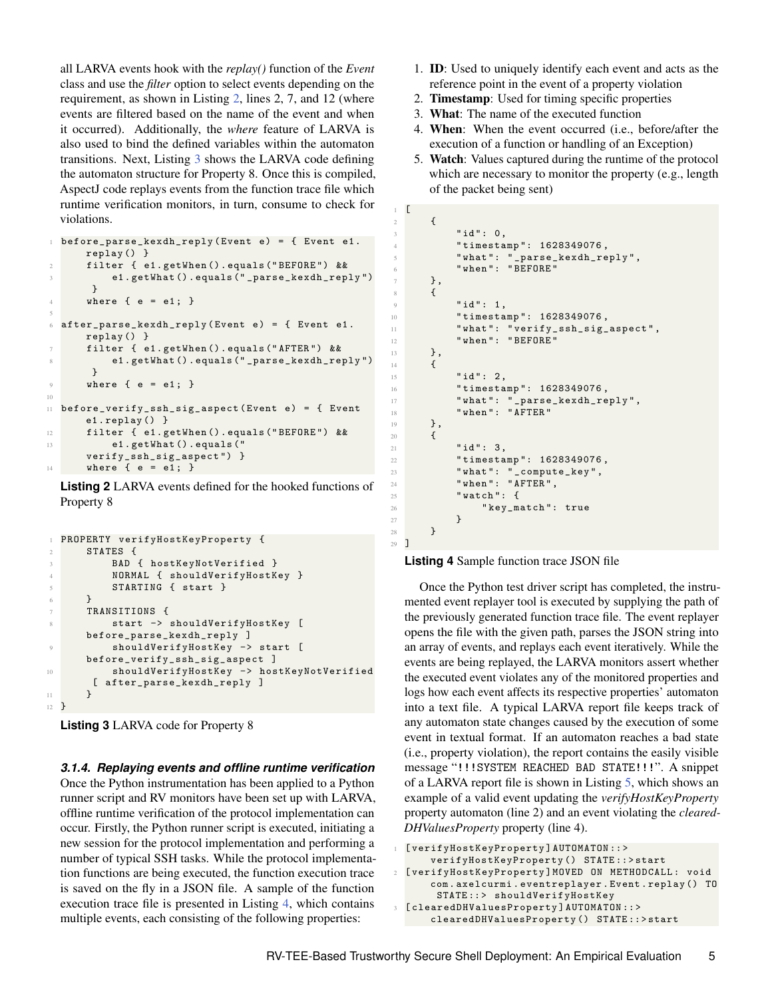all LARVA events hook with the *replay()* function of the *Event* class and use the *filter* option to select events depending on the requirement, as shown in Listing [2,](#page-4-0) lines 2, 7, and 12 (where events are filtered based on the name of the event and when it occurred). Additionally, the *where* feature of LARVA is also used to bind the defined variables within the automaton transitions. Next, Listing [3](#page-4-1) shows the LARVA code defining the automaton structure for Property 8. Once this is compiled, AspectJ code replays events from the function trace file which runtime verification monitors, in turn, consume to check for violations.

```
before\_parse\_kexdh\_reply (Event e) = { Event e1.
      replay () }
      filter { e1.getWhen ().equals ("BEFORE") &&
           e1.getWhat ().equals ("_parse_kexdh_reply")
       }
      where \{ e = e1 : \}5
  after\_parse\_kexdh\_reply (Event e) = { Event e1.
      replay () }
      7 filter { e1 . getWhen () . equals (" AFTER ") &&
           e1.getWhat ().equals ("_parse_kexdh_reply")
       }
      where \{ e = e1; \}10
11 before_verify_ssh_sig_aspect (Event e) = { Event
      e1 . replay () }
12 filter { e1 . getWhen () . equals (" BEFORE ") &&
13 e1 . getWhat () . equals ("
      verify_ssh_sig_aspect ") }
14 where \{ e = e1; \}
```
**Listing 2** LARVA events defined for the hooked functions of Property 8

```
1 PROPERTY verifyHostKeyProperty {
2 STATES {
          BAD { hostKeyNotVerified }
          4 NORMAL { shouldVerifyHostKey }
          5 STARTING { start }
6 }
      7 TRANSITIONS {
         start -> shouldVerifyHostKey [
      before_parse_kexdh_reply ]
          shouldVerifyHostKey -> start [
      before_verify_ssh_sig_aspect ]
          10 shouldVerifyHostKey −> hostKeyNotVerified
       [ after_parse_kexdh_reply ]
11 }
12 }
```
**Listing 3** LARVA code for Property 8

*3.1.4. Replaying events and offline runtime verification* Once the Python instrumentation has been applied to a Python runner script and RV monitors have been set up with LARVA, offline runtime verification of the protocol implementation can occur. Firstly, the Python runner script is executed, initiating a new session for the protocol implementation and performing a number of typical SSH tasks. While the protocol implementation functions are being executed, the function execution trace is saved on the fly in a JSON file. A sample of the function execution trace file is presented in Listing [4,](#page-4-2) which contains multiple events, each consisting of the following properties:

- 1. ID: Used to uniquely identify each event and acts as the reference point in the event of a property violation
- 2. Timestamp: Used for timing specific properties
- 3. What: The name of the executed function
- 4. When: When the event occurred (i.e., before/after the execution of a function or handling of an Exception)
- 5. Watch: Values captured during the runtime of the protocol which are necessary to monitor the property (e.g., length of the packet being sent)

```
1 [
2 \times 43 "id": 0,4 " timestamp ": 1628349076 ,
$\mathsf{\small 5}$ " what ": " _parse_kexdh_reply " ,
6 " when ": " BEFORE "
7 },
8 \qquad \qquad9 " id": 1,10 "timestamp": 1628349076,
11 " what ": " verify_ssh_sig_aspect ",
12 " when ": "BEFORE"
13 },
14 \overline{f}15 "id": 2.
16 timestamp": 1628349076,
17 " what ": " _parse_kexdh_reply ",
18 " when ": " AFTER "
19 },
20 \epsilon21 " id ": 3,
22 " timestamp ": 1628349076 ,
23 "what": "_{\text{compute\_key}}",
24 " when ": " AFTER ",
25 " watch ": {
26 " key_match": true<br>
27 }
27 }
28 }
29 ]
```
**Listing 4** Sample function trace JSON file

Once the Python test driver script has completed, the instrumented event replayer tool is executed by supplying the path of the previously generated function trace file. The event replayer opens the file with the given path, parses the JSON string into an array of events, and replays each event iteratively. While the events are being replayed, the LARVA monitors assert whether the executed event violates any of the monitored properties and logs how each event affects its respective properties' automaton into a text file. A typical LARVA report file keeps track of any automaton state changes caused by the execution of some event in textual format. If an automaton reaches a bad state (i.e., property violation), the report contains the easily visible message "!!!SYSTEM REACHED BAD STATE!!!". A snippet of a LARVA report file is shown in Listing [5,](#page-4-3) which shows an example of a valid event updating the *verifyHostKeyProperty* property automaton (line 2) and an event violating the *cleared-DHValuesProperty* property (line 4).

```
1 [ verifyHostKeyProperty ] AUTOMATON :: >
      verifyHostKeyProperty () STATE :: > start
2 [ verifyHostKeyProperty ] MOVED ON METHODCALL : void
      com . axelcurmi . eventreplayer . Event . replay () TO
       STATE :: > shouldVerifyHostKey
  [clearedDHValuesProperty] AUTOMATON :: >
      clearedDHValuesProperty () STATE :: > start
```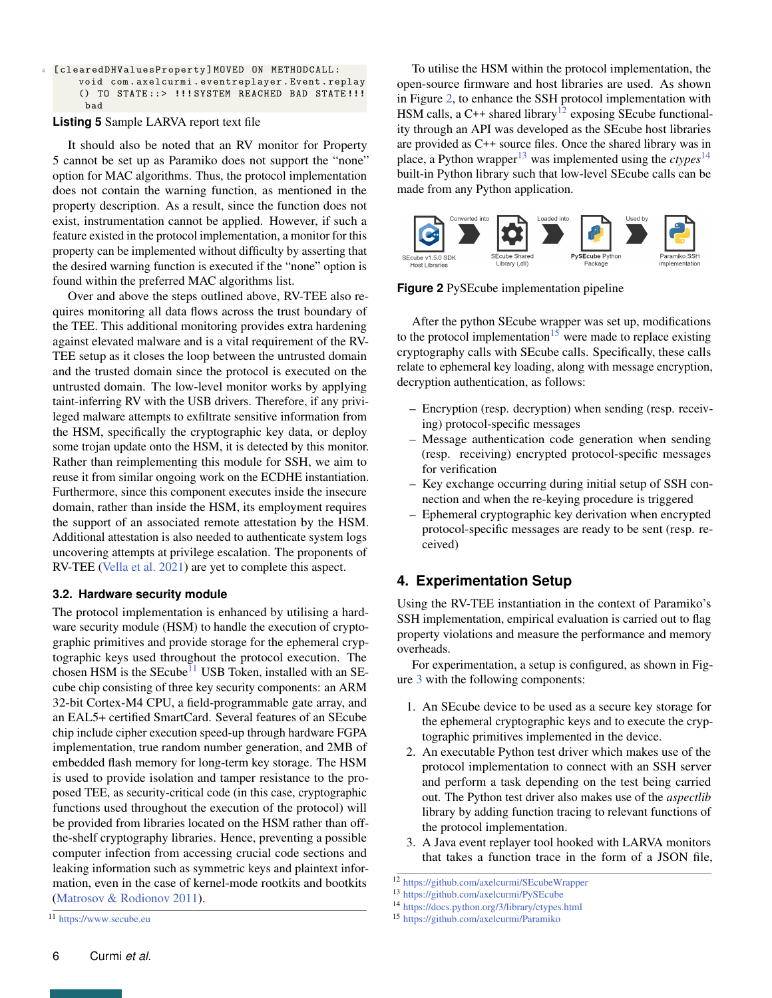| 4 [clearedDHValuesProperty]MOVED ON METHODCALL: |
|-------------------------------------------------|
| void com.axelcurmi.eventreplayer.Event.replay   |
| () TO STATE::> !!!SYSTEM REACHED BAD STATE!!!   |
| bad                                             |

## **Listing 5** Sample LARVA report text file

It should also be noted that an RV monitor for Property 5 cannot be set up as Paramiko does not support the "none" option for MAC algorithms. Thus, the protocol implementation does not contain the warning function, as mentioned in the property description. As a result, since the function does not exist, instrumentation cannot be applied. However, if such a feature existed in the protocol implementation, a monitor for this property can be implemented without difficulty by asserting that the desired warning function is executed if the "none" option is found within the preferred MAC algorithms list.

Over and above the steps outlined above, RV-TEE also requires monitoring all data flows across the trust boundary of the TEE. This additional monitoring provides extra hardening against elevated malware and is a vital requirement of the RV-TEE setup as it closes the loop between the untrusted domain and the trusted domain since the protocol is executed on the untrusted domain. The low-level monitor works by applying taint-inferring RV with the USB drivers. Therefore, if any privileged malware attempts to exfiltrate sensitive information from the HSM, specifically the cryptographic key data, or deploy some trojan update onto the HSM, it is detected by this monitor. Rather than reimplementing this module for SSH, we aim to reuse it from similar ongoing work on the ECDHE instantiation. Furthermore, since this component executes inside the insecure domain, rather than inside the HSM, its employment requires the support of an associated remote attestation by the HSM. Additional attestation is also needed to authenticate system logs uncovering attempts at privilege escalation. The proponents of RV-TEE [\(Vella et al.](#page-14-5) [2021\)](#page-14-5) are yet to complete this aspect.

## **3.2. Hardware security module**

The protocol implementation is enhanced by utilising a hardware security module (HSM) to handle the execution of cryptographic primitives and provide storage for the ephemeral cryptographic keys used throughout the protocol execution. The chosen HSM is the SEcube<sup>[11](#page-0-0)</sup> USB Token, installed with an SEcube chip consisting of three key security components: an ARM 32-bit Cortex-M4 CPU, a field-programmable gate array, and an EAL5+ certified SmartCard. Several features of an SEcube chip include cipher execution speed-up through hardware FGPA implementation, true random number generation, and 2MB of embedded flash memory for long-term key storage. The HSM is used to provide isolation and tamper resistance to the proposed TEE, as security-critical code (in this case, cryptographic functions used throughout the execution of the protocol) will be provided from libraries located on the HSM rather than offthe-shelf cryptography libraries. Hence, preventing a possible computer infection from accessing crucial code sections and leaking information such as symmetric keys and plaintext information, even in the case of kernel-mode rootkits and bootkits [\(Matrosov & Rodionov](#page-14-11) [2011\)](#page-14-11).

To utilise the HSM within the protocol implementation, the open-source firmware and host libraries are used. As shown in Figure [2,](#page-5-0) to enhance the SSH protocol implementation with HSM calls, a C++ shared library<sup>[12](#page-0-0)</sup> exposing SEcube functionality through an API was developed as the SEcube host libraries are provided as C++ source files. Once the shared library was in place, a Python wrapper<sup>[13](#page-0-0)</sup> was implemented using the *ctypes*<sup>[14](#page-0-0)</sup> built-in Python library such that low-level SEcube calls can be made from any Python application.

<span id="page-5-0"></span>

**Figure 2** PySEcube implementation pipeline

After the python SEcube wrapper was set up, modifications to the protocol implementation<sup>[15](#page-0-0)</sup> were made to replace existing cryptography calls with SEcube calls. Specifically, these calls relate to ephemeral key loading, along with message encryption, decryption authentication, as follows:

- Encryption (resp. decryption) when sending (resp. receiving) protocol-specific messages
- Message authentication code generation when sending (resp. receiving) encrypted protocol-specific messages for verification
- Key exchange occurring during initial setup of SSH connection and when the re-keying procedure is triggered
- Ephemeral cryptographic key derivation when encrypted protocol-specific messages are ready to be sent (resp. received)

# **4. Experimentation Setup**

Using the RV-TEE instantiation in the context of Paramiko's SSH implementation, empirical evaluation is carried out to flag property violations and measure the performance and memory overheads.

For experimentation, a setup is configured, as shown in Figure [3](#page-6-0) with the following components:

- 1. An SEcube device to be used as a secure key storage for the ephemeral cryptographic keys and to execute the cryptographic primitives implemented in the device.
- 2. An executable Python test driver which makes use of the protocol implementation to connect with an SSH server and perform a task depending on the test being carried out. The Python test driver also makes use of the *aspectlib* library by adding function tracing to relevant functions of the protocol implementation.
- 3. A Java event replayer tool hooked with LARVA monitors that takes a function trace in the form of a JSON file,

<sup>12</sup> <https://github.com/axelcurmi/SEcubeWrapper>

<sup>13</sup> <https://github.com/axelcurmi/PySEcube>

<sup>14</sup> <https://docs.python.org/3/library/ctypes.html>

<sup>15</sup> <https://github.com/axelcurmi/Paramiko>

<sup>11</sup> <https://www.secube.eu>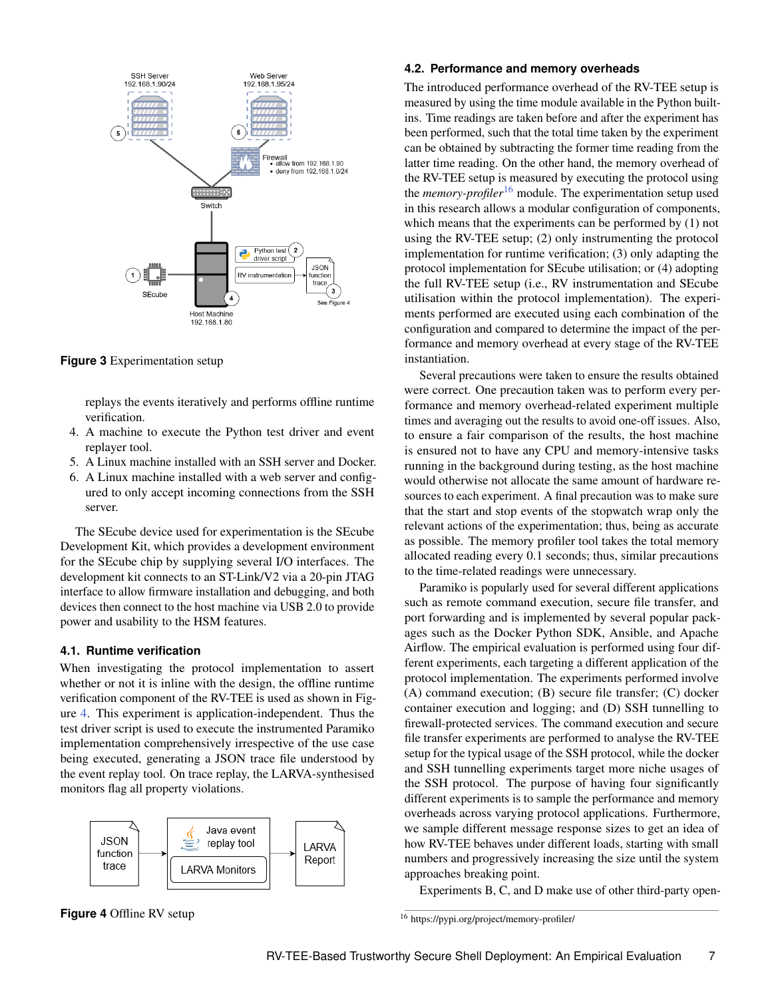<span id="page-6-0"></span>

**Figure 3** Experimentation setup

replays the events iteratively and performs offline runtime verification.

- 4. A machine to execute the Python test driver and event replayer tool.
- 5. A Linux machine installed with an SSH server and Docker.
- 6. A Linux machine installed with a web server and configured to only accept incoming connections from the SSH server.

The SEcube device used for experimentation is the SEcube Development Kit, which provides a development environment for the SEcube chip by supplying several I/O interfaces. The development kit connects to an ST-Link/V2 via a 20-pin JTAG interface to allow firmware installation and debugging, and both devices then connect to the host machine via USB 2.0 to provide power and usability to the HSM features.

## **4.1. Runtime verification**

When investigating the protocol implementation to assert whether or not it is inline with the design, the offline runtime verification component of the RV-TEE is used as shown in Figure [4.](#page-6-1) This experiment is application-independent. Thus the test driver script is used to execute the instrumented Paramiko implementation comprehensively irrespective of the use case being executed, generating a JSON trace file understood by the event replay tool. On trace replay, the LARVA-synthesised monitors flag all property violations.

<span id="page-6-1"></span>

**Figure 4** Offline RV setup

## **4.2. Performance and memory overheads**

The introduced performance overhead of the RV-TEE setup is measured by using the time module available in the Python builtins. Time readings are taken before and after the experiment has been performed, such that the total time taken by the experiment can be obtained by subtracting the former time reading from the latter time reading. On the other hand, the memory overhead of the RV-TEE setup is measured by executing the protocol using the *memory-profiler*[16](#page-0-0) module. The experimentation setup used in this research allows a modular configuration of components, which means that the experiments can be performed by (1) not using the RV-TEE setup; (2) only instrumenting the protocol implementation for runtime verification; (3) only adapting the protocol implementation for SEcube utilisation; or (4) adopting the full RV-TEE setup (i.e., RV instrumentation and SEcube utilisation within the protocol implementation). The experiments performed are executed using each combination of the configuration and compared to determine the impact of the performance and memory overhead at every stage of the RV-TEE instantiation.

Several precautions were taken to ensure the results obtained were correct. One precaution taken was to perform every performance and memory overhead-related experiment multiple times and averaging out the results to avoid one-off issues. Also, to ensure a fair comparison of the results, the host machine is ensured not to have any CPU and memory-intensive tasks running in the background during testing, as the host machine would otherwise not allocate the same amount of hardware resources to each experiment. A final precaution was to make sure that the start and stop events of the stopwatch wrap only the relevant actions of the experimentation; thus, being as accurate as possible. The memory profiler tool takes the total memory allocated reading every 0.1 seconds; thus, similar precautions to the time-related readings were unnecessary.

Paramiko is popularly used for several different applications such as remote command execution, secure file transfer, and port forwarding and is implemented by several popular packages such as the Docker Python SDK, Ansible, and Apache Airflow. The empirical evaluation is performed using four different experiments, each targeting a different application of the protocol implementation. The experiments performed involve (A) command execution; (B) secure file transfer; (C) docker container execution and logging; and (D) SSH tunnelling to firewall-protected services. The command execution and secure file transfer experiments are performed to analyse the RV-TEE setup for the typical usage of the SSH protocol, while the docker and SSH tunnelling experiments target more niche usages of the SSH protocol. The purpose of having four significantly different experiments is to sample the performance and memory overheads across varying protocol applications. Furthermore, we sample different message response sizes to get an idea of how RV-TEE behaves under different loads, starting with small numbers and progressively increasing the size until the system approaches breaking point.

Experiments B, C, and D make use of other third-party open-

<sup>16</sup> https://pypi.org/project/memory-profiler/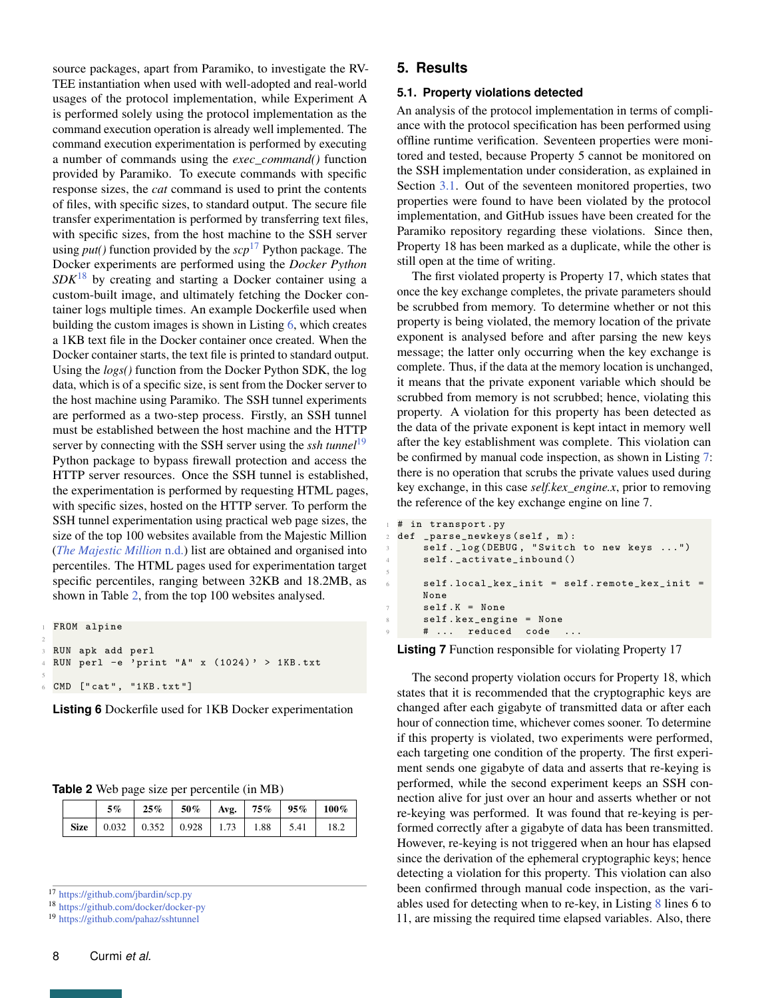source packages, apart from Paramiko, to investigate the RV-TEE instantiation when used with well-adopted and real-world usages of the protocol implementation, while Experiment A is performed solely using the protocol implementation as the command execution operation is already well implemented. The command execution experimentation is performed by executing a number of commands using the *exec\_command()* function provided by Paramiko. To execute commands with specific response sizes, the *cat* command is used to print the contents of files, with specific sizes, to standard output. The secure file transfer experimentation is performed by transferring text files, with specific sizes, from the host machine to the SSH server using *put()* function provided by the *scp*[17](#page-0-0) Python package. The Docker experiments are performed using the *Docker Python SDK*[18](#page-0-0) by creating and starting a Docker container using a custom-built image, and ultimately fetching the Docker container logs multiple times. An example Dockerfile used when building the custom images is shown in Listing [6,](#page-7-0) which creates a 1KB text file in the Docker container once created. When the Docker container starts, the text file is printed to standard output. Using the *logs()* function from the Docker Python SDK, the log data, which is of a specific size, is sent from the Docker server to the host machine using Paramiko. The SSH tunnel experiments are performed as a two-step process. Firstly, an SSH tunnel must be established between the host machine and the HTTP server by connecting with the SSH server using the *ssh tunnel*[19](#page-0-0) Python package to bypass firewall protection and access the HTTP server resources. Once the SSH tunnel is established, the experimentation is performed by requesting HTML pages, with specific sizes, hosted on the HTTP server. To perform the SSH tunnel experimentation using practical web page sizes, the size of the top 100 websites available from the Majestic Million (*[The Majestic Million](#page-14-12)* [n.d.\)](#page-14-12) list are obtained and organised into percentiles. The HTML pages used for experimentation target specific percentiles, ranging between 32KB and 18.2MB, as shown in Table [2,](#page-7-1) from the top 100 websites analysed.

<span id="page-7-0"></span>FROM alpine RUN apk add perl RUN perl  $-e^{-t}$  print "A" x (1024)' > 1KB.txt CMD ["cat", "1KB.txt"]

**Listing 6** Dockerfile used for 1KB Docker experimentation

<span id="page-7-1"></span>

| Table 2 Web page size per percentile (in MB) |  |  |
|----------------------------------------------|--|--|
|----------------------------------------------|--|--|

|  | $5\%$ | $25\%$   50%   Avg.   75%   95%   100% |  |  |
|--|-------|----------------------------------------|--|--|
|  |       |                                        |  |  |

<sup>17</sup> <https://github.com/jbardin/scp.py>

<sup>18</sup> <https://github.com/docker/docker-py>

<sup>19</sup> <https://github.com/pahaz/sshtunnel>

2

5

## **5. Results**

5

#### **5.1. Property violations detected**

An analysis of the protocol implementation in terms of compliance with the protocol specification has been performed using offline runtime verification. Seventeen properties were monitored and tested, because Property 5 cannot be monitored on the SSH implementation under consideration, as explained in Section [3.1.](#page-2-1) Out of the seventeen monitored properties, two properties were found to have been violated by the protocol implementation, and GitHub issues have been created for the Paramiko repository regarding these violations. Since then, Property 18 has been marked as a duplicate, while the other is still open at the time of writing.

The first violated property is Property 17, which states that once the key exchange completes, the private parameters should be scrubbed from memory. To determine whether or not this property is being violated, the memory location of the private exponent is analysed before and after parsing the new keys message; the latter only occurring when the key exchange is complete. Thus, if the data at the memory location is unchanged, it means that the private exponent variable which should be scrubbed from memory is not scrubbed; hence, violating this property. A violation for this property has been detected as the data of the private exponent is kept intact in memory well after the key establishment was complete. This violation can be confirmed by manual code inspection, as shown in Listing [7:](#page-7-2) there is no operation that scrubs the private values used during key exchange, in this case *self.kex\_engine.x*, prior to removing the reference of the key exchange engine on line 7.

```
# in transport.py
def _parse_newkeys (self, m):
    self._log (DEBUG, "Switch to new keys ...")
    self._activate_inbound()
    self. local\_kex\_init = self. remote\_kex\_init =
    None
    self.K = None8 self . kex_engine = None
    # ... reduced code
```
**Listing 7** Function responsible for violating Property 17

The second property violation occurs for Property 18, which states that it is recommended that the cryptographic keys are changed after each gigabyte of transmitted data or after each hour of connection time, whichever comes sooner. To determine if this property is violated, two experiments were performed, each targeting one condition of the property. The first experiment sends one gigabyte of data and asserts that re-keying is performed, while the second experiment keeps an SSH connection alive for just over an hour and asserts whether or not re-keying was performed. It was found that re-keying is performed correctly after a gigabyte of data has been transmitted. However, re-keying is not triggered when an hour has elapsed since the derivation of the ephemeral cryptographic keys; hence detecting a violation for this property. This violation can also been confirmed through manual code inspection, as the variables used for detecting when to re-key, in Listing [8](#page-8-0) lines 6 to 11, are missing the required time elapsed variables. Also, there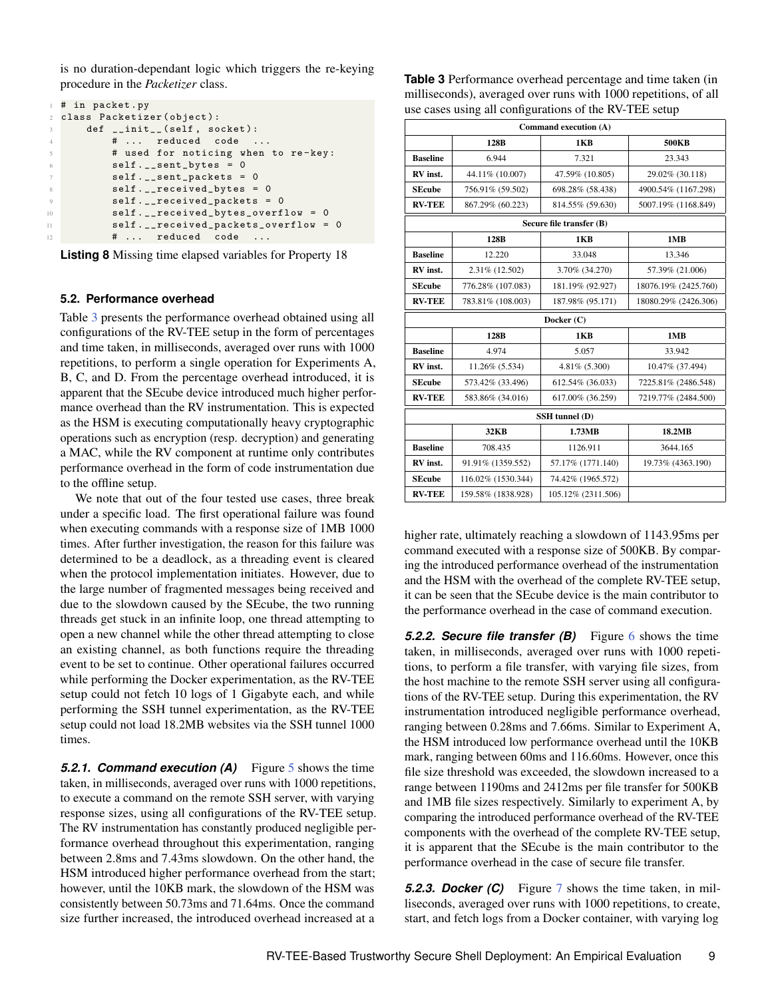is no duration-dependant logic which triggers the re-keying procedure in the *Packetizer* class.

<span id="page-8-0"></span>

|                 | $\pm$ # in packet.py                   |
|-----------------|----------------------------------------|
|                 | 2 class Packetizer (object):           |
|                 | def __init__(self, socket):<br>$3 - 1$ |
| $\overline{4}$  | #  reduced code                        |
| -5              | # used for noticing when to re-key:    |
| 6               | $self._$ sent bytes = 0                |
| $7\phantom{.0}$ | $self.$ _sent_packets = 0              |
| 8               | $self._{-}$ received_bytes = 0         |
| 9               | $self. \_\_received\_package 0$        |
| 10              | self. __received_bytes_overflow = 0    |
| 11              | self. __ received_packets_overflow = 0 |
| 12              | #  reduced code                        |

**Listing 8** Missing time elapsed variables for Property 18

## **5.2. Performance overhead**

Table [3](#page-8-1) presents the performance overhead obtained using all configurations of the RV-TEE setup in the form of percentages and time taken, in milliseconds, averaged over runs with 1000 repetitions, to perform a single operation for Experiments A, B, C, and D. From the percentage overhead introduced, it is apparent that the SEcube device introduced much higher performance overhead than the RV instrumentation. This is expected as the HSM is executing computationally heavy cryptographic operations such as encryption (resp. decryption) and generating a MAC, while the RV component at runtime only contributes performance overhead in the form of code instrumentation due to the offline setup.

We note that out of the four tested use cases, three break under a specific load. The first operational failure was found when executing commands with a response size of 1MB 1000 times. After further investigation, the reason for this failure was determined to be a deadlock, as a threading event is cleared when the protocol implementation initiates. However, due to the large number of fragmented messages being received and due to the slowdown caused by the SEcube, the two running threads get stuck in an infinite loop, one thread attempting to open a new channel while the other thread attempting to close an existing channel, as both functions require the threading event to be set to continue. Other operational failures occurred while performing the Docker experimentation, as the RV-TEE setup could not fetch 10 logs of 1 Gigabyte each, and while performing the SSH tunnel experimentation, as the RV-TEE setup could not load 18.2MB websites via the SSH tunnel 1000 times.

**[5](#page-9-0).2.1. Command execution (A)** Figure 5 shows the time taken, in milliseconds, averaged over runs with 1000 repetitions, to execute a command on the remote SSH server, with varying response sizes, using all configurations of the RV-TEE setup. The RV instrumentation has constantly produced negligible performance overhead throughout this experimentation, ranging between 2.8ms and 7.43ms slowdown. On the other hand, the HSM introduced higher performance overhead from the start; however, until the 10KB mark, the slowdown of the HSM was consistently between 50.73ms and 71.64ms. Once the command size further increased, the introduced overhead increased at a

<span id="page-8-1"></span>**Table 3** Performance overhead percentage and time taken (in milliseconds), averaged over runs with 1000 repetitions, of all use cases using all configurations of the RV-TEE setup

| Command execution (A) |                    |                          |                      |  |  |  |  |
|-----------------------|--------------------|--------------------------|----------------------|--|--|--|--|
|                       | 128B               | 1KB                      | 500KB                |  |  |  |  |
| <b>Baseline</b>       | 6.944              | 7.321                    | 23.343               |  |  |  |  |
| RV inst.              | 44.11% (10.007)    | 47.59% (10.805)          | 29.02% (30.118)      |  |  |  |  |
| <b>SEcube</b>         | 756.91% (59.502)   | 698.28% (58.438)         | 4900.54% (1167.298)  |  |  |  |  |
| <b>RV-TEE</b>         | 867.29% (60.223)   | 814.55% (59.630)         | 5007.19% (1168.849)  |  |  |  |  |
|                       |                    | Secure file transfer (B) |                      |  |  |  |  |
|                       | 128B               | 1KB                      | 1MB                  |  |  |  |  |
| <b>Baseline</b>       | 12.220             | 33.048                   | 13.346               |  |  |  |  |
| RV inst.              | 2.31% (12.502)     | 3.70% (34.270)           | 57.39% (21.006)      |  |  |  |  |
| <b>SEcube</b>         | 776.28% (107.083)  | 181.19% (92.927)         | 18076.19% (2425.760) |  |  |  |  |
| <b>RV-TEE</b>         | 783.81% (108.003)  | 187.98% (95.171)         |                      |  |  |  |  |
|                       |                    | Docker $(C)$             |                      |  |  |  |  |
|                       | 128B               | 1KB                      | 1MB                  |  |  |  |  |
| <b>Baseline</b>       | 4.974              | 5.057                    | 33.942               |  |  |  |  |
| RV inst.              | 11.26% (5.534)     | 4.81% (5.300)            | 10.47% (37.494)      |  |  |  |  |
| <b>SEcube</b>         | 573.42% (33.496)   | 612.54% (36.033)         | 7225.81% (2486.548)  |  |  |  |  |
| <b>RV-TEE</b>         | 583.86% (34.016)   | 617.00% (36.259)         | 7219.77% (2484.500)  |  |  |  |  |
|                       |                    | SSH tunnel (D)           |                      |  |  |  |  |
|                       | <b>32KB</b>        | 1.73MB                   | 18.2MB               |  |  |  |  |
| <b>Baseline</b>       | 708.435            | 1126.911                 | 3644.165             |  |  |  |  |
| RV inst.              | 91.91% (1359.552)  | 57.17% (1771.140)        | 19.73% (4363.190)    |  |  |  |  |
| <b>SEcube</b>         | 116.02% (1530.344) | 74.42% (1965.572)        |                      |  |  |  |  |
| <b>RV-TEE</b>         | 159.58% (1838.928) | 105.12% (2311.506)       |                      |  |  |  |  |

higher rate, ultimately reaching a slowdown of 1143.95ms per command executed with a response size of 500KB. By comparing the introduced performance overhead of the instrumentation and the HSM with the overhead of the complete RV-TEE setup, it can be seen that the SEcube device is the main contributor to the performance overhead in the case of command execution.

**5.2.2. Secure file transfer (B)** Figure [6](#page-9-1) shows the time taken, in milliseconds, averaged over runs with 1000 repetitions, to perform a file transfer, with varying file sizes, from the host machine to the remote SSH server using all configurations of the RV-TEE setup. During this experimentation, the RV instrumentation introduced negligible performance overhead, ranging between 0.28ms and 7.66ms. Similar to Experiment A, the HSM introduced low performance overhead until the 10KB mark, ranging between 60ms and 116.60ms. However, once this file size threshold was exceeded, the slowdown increased to a range between 1190ms and 2412ms per file transfer for 500KB and 1MB file sizes respectively. Similarly to experiment A, by comparing the introduced performance overhead of the RV-TEE components with the overhead of the complete RV-TEE setup, it is apparent that the SEcube is the main contributor to the performance overhead in the case of secure file transfer.

*5.2.3. Docker (C)* Figure [7](#page-10-0) shows the time taken, in milliseconds, averaged over runs with 1000 repetitions, to create, start, and fetch logs from a Docker container, with varying log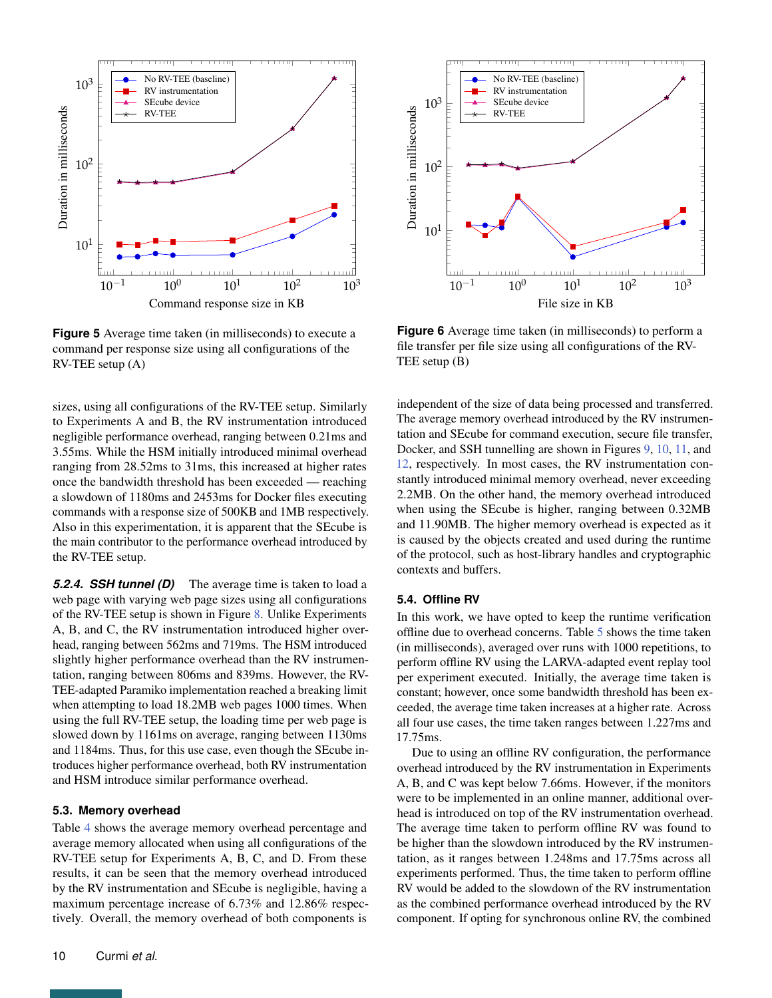<span id="page-9-0"></span>

**Figure 5** Average time taken (in milliseconds) to execute a command per response size using all configurations of the RV-TEE setup (A)

sizes, using all configurations of the RV-TEE setup. Similarly to Experiments A and B, the RV instrumentation introduced negligible performance overhead, ranging between 0.21ms and 3.55ms. While the HSM initially introduced minimal overhead ranging from 28.52ms to 31ms, this increased at higher rates once the bandwidth threshold has been exceeded — reaching a slowdown of 1180ms and 2453ms for Docker files executing commands with a response size of 500KB and 1MB respectively. Also in this experimentation, it is apparent that the SEcube is the main contributor to the performance overhead introduced by the RV-TEE setup.

*5.2.4. SSH tunnel (D)* The average time is taken to load a web page with varying web page sizes using all configurations of the RV-TEE setup is shown in Figure [8.](#page-10-1) Unlike Experiments A, B, and C, the RV instrumentation introduced higher overhead, ranging between 562ms and 719ms. The HSM introduced slightly higher performance overhead than the RV instrumentation, ranging between 806ms and 839ms. However, the RV-TEE-adapted Paramiko implementation reached a breaking limit when attempting to load 18.2MB web pages 1000 times. When using the full RV-TEE setup, the loading time per web page is slowed down by 1161ms on average, ranging between 1130ms and 1184ms. Thus, for this use case, even though the SEcube introduces higher performance overhead, both RV instrumentation and HSM introduce similar performance overhead.

## **5.3. Memory overhead**

Table [4](#page-11-0) shows the average memory overhead percentage and average memory allocated when using all configurations of the RV-TEE setup for Experiments A, B, C, and D. From these results, it can be seen that the memory overhead introduced by the RV instrumentation and SEcube is negligible, having a maximum percentage increase of 6.73% and 12.86% respectively. Overall, the memory overhead of both components is

<span id="page-9-1"></span>

**Figure 6** Average time taken (in milliseconds) to perform a file transfer per file size using all configurations of the RV-TEE setup (B)

independent of the size of data being processed and transferred. The average memory overhead introduced by the RV instrumentation and SEcube for command execution, secure file transfer, Docker, and SSH tunnelling are shown in Figures [9,](#page-11-1) [10,](#page-12-0) [11,](#page-12-1) and [12,](#page-13-8) respectively. In most cases, the RV instrumentation constantly introduced minimal memory overhead, never exceeding 2.2MB. On the other hand, the memory overhead introduced when using the SEcube is higher, ranging between 0.32MB and 11.90MB. The higher memory overhead is expected as it is caused by the objects created and used during the runtime of the protocol, such as host-library handles and cryptographic contexts and buffers.

## **5.4. Offline RV**

In this work, we have opted to keep the runtime verification offline due to overhead concerns. Table [5](#page-11-2) shows the time taken (in milliseconds), averaged over runs with 1000 repetitions, to perform offline RV using the LARVA-adapted event replay tool per experiment executed. Initially, the average time taken is constant; however, once some bandwidth threshold has been exceeded, the average time taken increases at a higher rate. Across all four use cases, the time taken ranges between 1.227ms and 17.75ms.

Due to using an offline RV configuration, the performance overhead introduced by the RV instrumentation in Experiments A, B, and C was kept below 7.66ms. However, if the monitors were to be implemented in an online manner, additional overhead is introduced on top of the RV instrumentation overhead. The average time taken to perform offline RV was found to be higher than the slowdown introduced by the RV instrumentation, as it ranges between 1.248ms and 17.75ms across all experiments performed. Thus, the time taken to perform offline RV would be added to the slowdown of the RV instrumentation as the combined performance overhead introduced by the RV component. If opting for synchronous online RV, the combined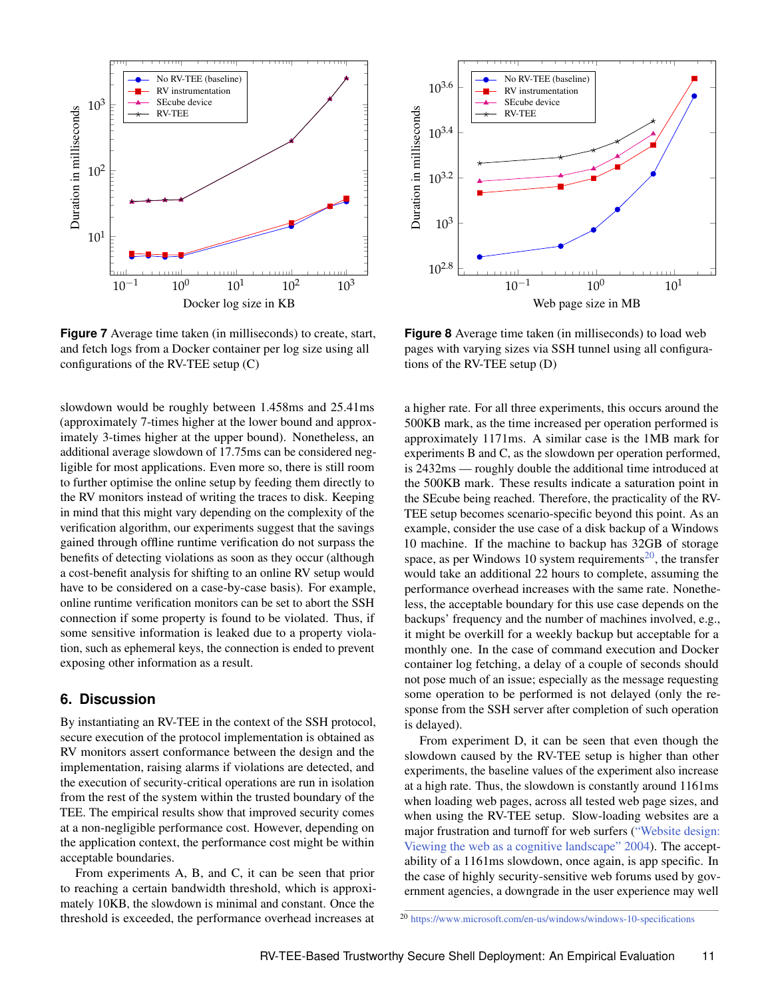<span id="page-10-0"></span>

**Figure 7** Average time taken (in milliseconds) to create, start, and fetch logs from a Docker container per log size using all configurations of the RV-TEE setup (C)

slowdown would be roughly between 1.458ms and 25.41ms (approximately 7-times higher at the lower bound and approximately 3-times higher at the upper bound). Nonetheless, an additional average slowdown of 17.75ms can be considered negligible for most applications. Even more so, there is still room to further optimise the online setup by feeding them directly to the RV monitors instead of writing the traces to disk. Keeping in mind that this might vary depending on the complexity of the verification algorithm, our experiments suggest that the savings gained through offline runtime verification do not surpass the benefits of detecting violations as soon as they occur (although a cost-benefit analysis for shifting to an online RV setup would have to be considered on a case-by-case basis). For example, online runtime verification monitors can be set to abort the SSH connection if some property is found to be violated. Thus, if some sensitive information is leaked due to a property violation, such as ephemeral keys, the connection is ended to prevent exposing other information as a result.

# **6. Discussion**

By instantiating an RV-TEE in the context of the SSH protocol, secure execution of the protocol implementation is obtained as RV monitors assert conformance between the design and the implementation, raising alarms if violations are detected, and the execution of security-critical operations are run in isolation from the rest of the system within the trusted boundary of the TEE. The empirical results show that improved security comes at a non-negligible performance cost. However, depending on the application context, the performance cost might be within acceptable boundaries.

From experiments A, B, and C, it can be seen that prior to reaching a certain bandwidth threshold, which is approximately 10KB, the slowdown is minimal and constant. Once the threshold is exceeded, the performance overhead increases at

<span id="page-10-1"></span>

**Figure 8** Average time taken (in milliseconds) to load web pages with varying sizes via SSH tunnel using all configurations of the RV-TEE setup (D)

a higher rate. For all three experiments, this occurs around the 500KB mark, as the time increased per operation performed is approximately 1171ms. A similar case is the 1MB mark for experiments B and C, as the slowdown per operation performed, is 2432ms — roughly double the additional time introduced at the 500KB mark. These results indicate a saturation point in the SEcube being reached. Therefore, the practicality of the RV-TEE setup becomes scenario-specific beyond this point. As an example, consider the use case of a disk backup of a Windows 10 machine. If the machine to backup has 32GB of storage space, as per Windows 10 system requirements<sup>[20](#page-0-0)</sup>, the transfer would take an additional 22 hours to complete, assuming the performance overhead increases with the same rate. Nonetheless, the acceptable boundary for this use case depends on the backups' frequency and the number of machines involved, e.g., it might be overkill for a weekly backup but acceptable for a monthly one. In the case of command execution and Docker container log fetching, a delay of a couple of seconds should not pose much of an issue; especially as the message requesting some operation to be performed is not delayed (only the response from the SSH server after completion of such operation is delayed).

From experiment D, it can be seen that even though the slowdown caused by the RV-TEE setup is higher than other experiments, the baseline values of the experiment also increase at a high rate. Thus, the slowdown is constantly around 1161ms when loading web pages, across all tested web page sizes, and when using the RV-TEE setup. Slow-loading websites are a major frustration and turnoff for web surfers [\("Website design:](#page-14-13) [Viewing the web as a cognitive landscape"](#page-14-13) [2004\)](#page-14-13). The acceptability of a 1161ms slowdown, once again, is app specific. In the case of highly security-sensitive web forums used by government agencies, a downgrade in the user experience may well

<sup>20</sup> <https://www.microsoft.com/en-us/windows/windows-10-specifications>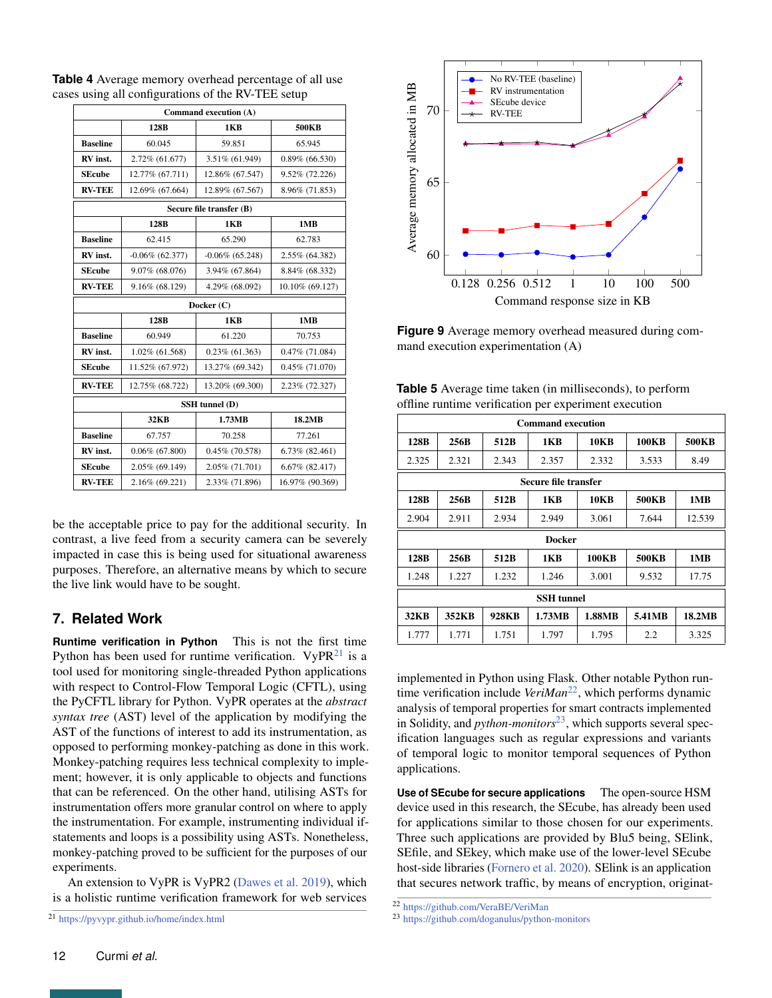| Command execution (A)    |                    |                    |                     |  |  |  |  |  |
|--------------------------|--------------------|--------------------|---------------------|--|--|--|--|--|
|                          | 128B               | 1KB                | 500KB               |  |  |  |  |  |
| <b>Baseline</b>          | 60.045             | 59.851             | 65.945              |  |  |  |  |  |
| RV inst.                 | 2.72% (61.677)     | 3.51% (61.949)     | $0.89\%$ (66.530)   |  |  |  |  |  |
| <b>SEcube</b>            | 12.77% (67.711)    | 12.86% (67.547)    | 9.52% (72.226)      |  |  |  |  |  |
| <b>RV-TEE</b>            | 12.69% (67.664)    | 12.89% (67.567)    | 8.96% (71.853)      |  |  |  |  |  |
| Secure file transfer (B) |                    |                    |                     |  |  |  |  |  |
|                          | 128 <sub>B</sub>   | 1KB                | 1MB                 |  |  |  |  |  |
| <b>Baseline</b>          | 62.415             | 65.290             | 62.783              |  |  |  |  |  |
| RV inst.                 | $-0.06\%$ (62.377) | $-0.06\%$ (65.248) | 2.55% (64.382)      |  |  |  |  |  |
| <b>SEcube</b>            | 9.07% (68.076)     | 3.94% (67.864)     | 8.84% (68.332)      |  |  |  |  |  |
| <b>RV-TEE</b>            | 9.16% (68.129)     | 4.29% (68.092)     | 10.10% (69.127)     |  |  |  |  |  |
|                          |                    | Docker $(C)$       |                     |  |  |  |  |  |
|                          | 1MB                |                    |                     |  |  |  |  |  |
| <b>Baseline</b>          | 60.949             | 61.220             | 70.753              |  |  |  |  |  |
| RV inst.                 | 1.02% (61.568)     | $0.23\%$ (61.363)  | $0.47\%$ (71.084)   |  |  |  |  |  |
| <b>SEcube</b>            | 11.52% (67.972)    | 13.27% (69.342)    | $0.45\%$ (71.070)   |  |  |  |  |  |
| <b>RV-TEE</b>            | 12.75% (68.722)    | 13.20% (69.300)    | 2.23% (72.327)      |  |  |  |  |  |
| SSH tunnel (D)           |                    |                    |                     |  |  |  |  |  |
|                          | <b>32KB</b>        | 1.73MB             | 18.2MB              |  |  |  |  |  |
| <b>Baseline</b>          | 67.757             | 70.258             | 77.261              |  |  |  |  |  |
| RV inst.                 | $0.06\%$ (67.800)  | $0.45\%$ (70.578)  | $6.73\%$ $(82.461)$ |  |  |  |  |  |
| <b>SEcube</b>            | 2.05% (69.149)     | 2.05% (71.701)     | 6.67% (82.417)      |  |  |  |  |  |
| <b>RV-TEE</b>            | 2.16% (69.221)     | 2.33% (71.896)     | 16.97% (90.369)     |  |  |  |  |  |

<span id="page-11-0"></span>**Table 4** Average memory overhead percentage of all use cases using all configurations of the RV-TEE setup

be the acceptable price to pay for the additional security. In contrast, a live feed from a security camera can be severely impacted in case this is being used for situational awareness purposes. Therefore, an alternative means by which to secure the live link would have to be sought.

# **7. Related Work**

**Runtime verification in Python** This is not the first time Python has been used for runtime verification.  $VyPR<sup>21</sup>$  $VyPR<sup>21</sup>$  $VyPR<sup>21</sup>$  is a tool used for monitoring single-threaded Python applications with respect to Control-Flow Temporal Logic (CFTL), using the PyCFTL library for Python. VyPR operates at the *abstract syntax tree* (AST) level of the application by modifying the AST of the functions of interest to add its instrumentation, as opposed to performing monkey-patching as done in this work. Monkey-patching requires less technical complexity to implement; however, it is only applicable to objects and functions that can be referenced. On the other hand, utilising ASTs for instrumentation offers more granular control on where to apply the instrumentation. For example, instrumenting individual ifstatements and loops is a possibility using ASTs. Nonetheless, monkey-patching proved to be sufficient for the purposes of our experiments.

An extension to VyPR is VyPR2 [\(Dawes et al.](#page-14-14) [2019\)](#page-14-14), which is a holistic runtime verification framework for web services

<span id="page-11-1"></span>

**Figure 9** Average memory overhead measured during command execution experimentation (A)

<span id="page-11-2"></span>

|                                                       | Table 5 Average time taken (in milliseconds), to perform |
|-------------------------------------------------------|----------------------------------------------------------|
| offline runtime verification per experiment execution |                                                          |

| <b>Command execution</b> |                      |       |        |        |              |        |  |  |  |
|--------------------------|----------------------|-------|--------|--------|--------------|--------|--|--|--|
| 128B                     | 256B                 | 512B  | 1 K B  | 10KB   | <b>100KB</b> | 500KB  |  |  |  |
| 2.325                    | 2.321                | 2.343 | 2.357  | 2.332  | 3.533        | 8.49   |  |  |  |
|                          | Secure file transfer |       |        |        |              |        |  |  |  |
| 128B                     | 256B                 | 512B  | 1 K B  | 10KB   | <b>500KB</b> | 1MB    |  |  |  |
| 2.904                    | 2.911                | 2.934 | 2.949  | 3.061  | 7.644        | 12.539 |  |  |  |
|                          | <b>Docker</b>        |       |        |        |              |        |  |  |  |
| 128B                     | 256B                 | 512B  | 1 K B  | 100KB  | <b>500KB</b> | 1MB    |  |  |  |
| 1.248                    | 1.227                | 1.232 | 1.246  | 3.001  | 9.532        | 17.75  |  |  |  |
| <b>SSH</b> tunnel        |                      |       |        |        |              |        |  |  |  |
| 32KB                     | 352KB                | 928KB | 1.73MB | 1.88MB | 5.41MB       | 18.2MB |  |  |  |
| 1.777                    | 1.771                | 1.751 | 1.797  | 1.795  | 2.2          | 3.325  |  |  |  |

implemented in Python using Flask. Other notable Python runtime verification include *VeriMan*<sup>[22](#page-0-0)</sup>, which performs dynamic analysis of temporal properties for smart contracts implemented in Solidity, and *python-monitors*[23](#page-0-0), which supports several specification languages such as regular expressions and variants of temporal logic to monitor temporal sequences of Python applications.

**Use of SEcube for secure applications** The open-source HSM device used in this research, the SEcube, has already been used for applications similar to those chosen for our experiments. Three such applications are provided by Blu5 being, SElink, SEfile, and SEkey, which make use of the lower-level SEcube host-side libraries [\(Fornero et al.](#page-14-15) [2020\)](#page-14-15). SElink is an application that secures network traffic, by means of encryption, originat-

<sup>21</sup> <https://pyvypr.github.io/home/index.html>

<sup>22</sup> <https://github.com/VeraBE/VeriMan>

<sup>23</sup> <https://github.com/doganulus/python-monitors>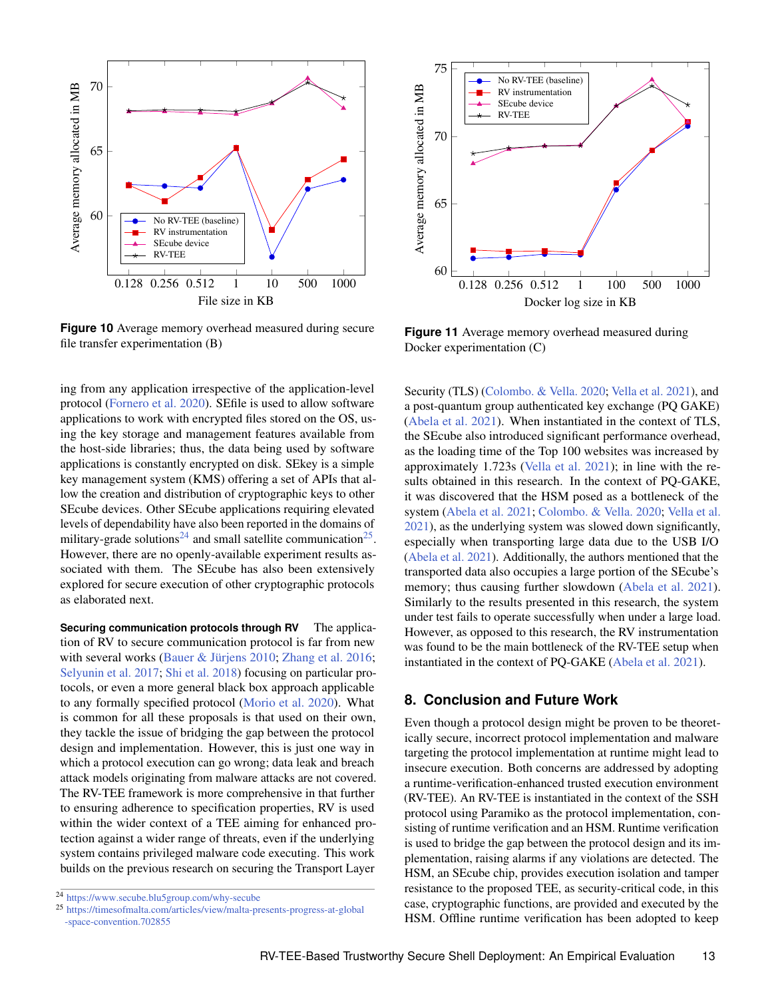<span id="page-12-0"></span>

**Figure 10** Average memory overhead measured during secure file transfer experimentation (B)

ing from any application irrespective of the application-level protocol [\(Fornero et al.](#page-14-15) [2020\)](#page-14-15). SEfile is used to allow software applications to work with encrypted files stored on the OS, using the key storage and management features available from the host-side libraries; thus, the data being used by software applications is constantly encrypted on disk. SEkey is a simple key management system (KMS) offering a set of APIs that allow the creation and distribution of cryptographic keys to other SEcube devices. Other SEcube applications requiring elevated levels of dependability have also been reported in the domains of military-grade solutions<sup>[24](#page-0-0)</sup> and small satellite communication<sup>[25](#page-0-0)</sup>. However, there are no openly-available experiment results associated with them. The SEcube has also been extensively explored for secure execution of other cryptographic protocols as elaborated next.

**Securing communication protocols through RV** The application of RV to secure communication protocol is far from new with several works [\(Bauer & Jürjens](#page-13-9) [2010;](#page-13-9) [Zhang et al.](#page-14-16) [2016;](#page-14-16) [Selyunin et al.](#page-14-17) [2017;](#page-14-17) [Shi et al.](#page-14-18) [2018\)](#page-14-18) focusing on particular protocols, or even a more general black box approach applicable to any formally specified protocol [\(Morio et al.](#page-14-19) [2020\)](#page-14-19). What is common for all these proposals is that used on their own, they tackle the issue of bridging the gap between the protocol design and implementation. However, this is just one way in which a protocol execution can go wrong; data leak and breach attack models originating from malware attacks are not covered. The RV-TEE framework is more comprehensive in that further to ensuring adherence to specification properties, RV is used within the wider context of a TEE aiming for enhanced protection against a wider range of threats, even if the underlying system contains privileged malware code executing. This work builds on the previous research on securing the Transport Layer

<span id="page-12-1"></span>

**Figure 11** Average memory overhead measured during Docker experimentation (C)

Security (TLS) [\(Colombo. & Vella.](#page-14-6) [2020;](#page-14-6) [Vella et al.](#page-14-5) [2021\)](#page-14-5), and a post-quantum group authenticated key exchange (PQ GAKE) [\(Abela et al.](#page-13-5) [2021\)](#page-13-5). When instantiated in the context of TLS, the SEcube also introduced significant performance overhead, as the loading time of the Top 100 websites was increased by approximately 1.723s [\(Vella et al.](#page-14-5) [2021\)](#page-14-5); in line with the results obtained in this research. In the context of PQ-GAKE, it was discovered that the HSM posed as a bottleneck of the system [\(Abela et al.](#page-13-5) [2021;](#page-13-5) [Colombo. & Vella.](#page-14-6) [2020;](#page-14-6) [Vella et al.](#page-14-5) [2021\)](#page-14-5), as the underlying system was slowed down significantly, especially when transporting large data due to the USB I/O [\(Abela et al.](#page-13-5) [2021\)](#page-13-5). Additionally, the authors mentioned that the transported data also occupies a large portion of the SEcube's memory; thus causing further slowdown [\(Abela et al.](#page-13-5) [2021\)](#page-13-5). Similarly to the results presented in this research, the system under test fails to operate successfully when under a large load. However, as opposed to this research, the RV instrumentation was found to be the main bottleneck of the RV-TEE setup when instantiated in the context of PQ-GAKE [\(Abela et al.](#page-13-5) [2021\)](#page-13-5).

# **8. Conclusion and Future Work**

Even though a protocol design might be proven to be theoretically secure, incorrect protocol implementation and malware targeting the protocol implementation at runtime might lead to insecure execution. Both concerns are addressed by adopting a runtime-verification-enhanced trusted execution environment (RV-TEE). An RV-TEE is instantiated in the context of the SSH protocol using Paramiko as the protocol implementation, consisting of runtime verification and an HSM. Runtime verification is used to bridge the gap between the protocol design and its implementation, raising alarms if any violations are detected. The HSM, an SEcube chip, provides execution isolation and tamper resistance to the proposed TEE, as security-critical code, in this case, cryptographic functions, are provided and executed by the HSM. Offline runtime verification has been adopted to keep

<sup>24</sup> <https://www.secube.blu5group.com/why-secube>

<sup>25</sup> [https://timesofmalta.com/articles/view/malta-presents-progress-at-global](https://timesofmalta.com/articles/view/malta-presents-progress-at-global-space-convention.702855) [-space-convention.702855](https://timesofmalta.com/articles/view/malta-presents-progress-at-global-space-convention.702855)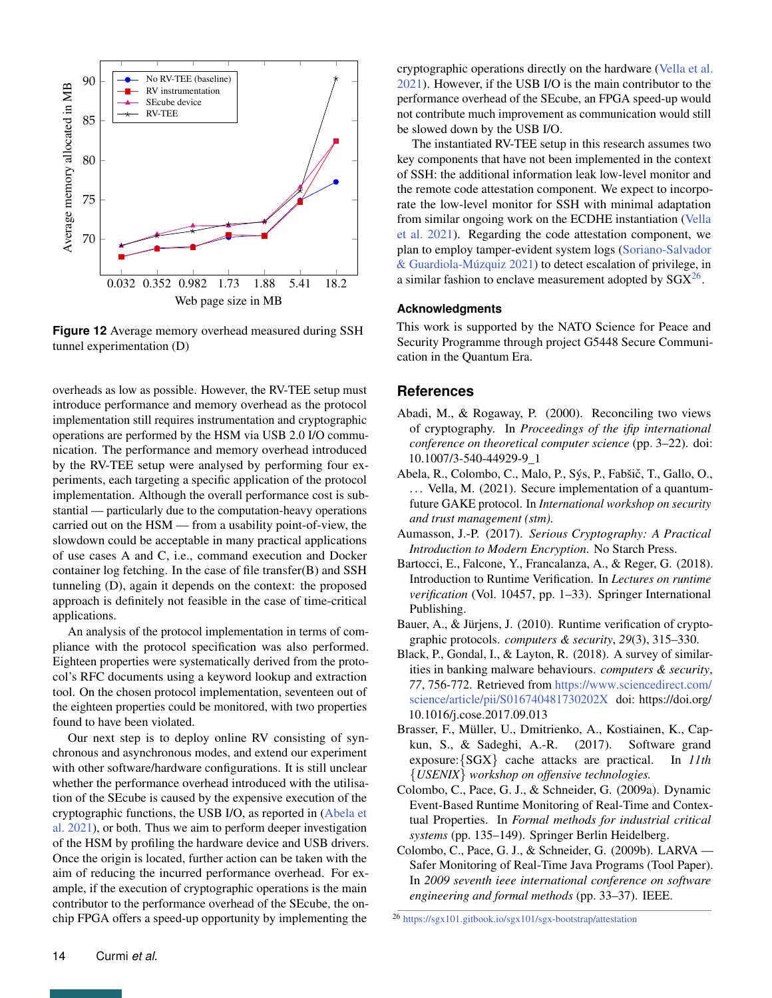<span id="page-13-8"></span>

**Figure 12** Average memory overhead measured during SSH tunnel experimentation (D)

overheads as low as possible. However, the RV-TEE setup must introduce performance and memory overhead as the protocol implementation still requires instrumentation and cryptographic operations are performed by the HSM via USB 2.0 I/O communication. The performance and memory overhead introduced by the RV-TEE setup were analysed by performing four experiments, each targeting a specific application of the protocol implementation. Although the overall performance cost is substantial — particularly due to the computation-heavy operations carried out on the HSM — from a usability point-of-view, the slowdown could be acceptable in many practical applications of use cases A and C, i.e., command execution and Docker container log fetching. In the case of file transfer(B) and SSH tunneling (D), again it depends on the context: the proposed approach is definitely not feasible in the case of time-critical applications.

An analysis of the protocol implementation in terms of compliance with the protocol specification was also performed. Eighteen properties were systematically derived from the protocol's RFC documents using a keyword lookup and extraction tool. On the chosen protocol implementation, seventeen out of the eighteen properties could be monitored, with two properties found to have been violated.

Our next step is to deploy online RV consisting of synchronous and asynchronous modes, and extend our experiment with other software/hardware configurations. It is still unclear whether the performance overhead introduced with the utilisation of the SEcube is caused by the expensive execution of the cryptographic functions, the USB I/O, as reported in [\(Abela et](#page-13-5) [al.](#page-13-5) [2021\)](#page-13-5), or both. Thus we aim to perform deeper investigation of the HSM by profiling the hardware device and USB drivers. Once the origin is located, further action can be taken with the aim of reducing the incurred performance overhead. For example, if the execution of cryptographic operations is the main contributor to the performance overhead of the SEcube, the onchip FPGA offers a speed-up opportunity by implementing the

cryptographic operations directly on the hardware [\(Vella et al.](#page-14-5) [2021\)](#page-14-5). However, if the USB I/O is the main contributor to the performance overhead of the SEcube, an FPGA speed-up would not contribute much improvement as communication would still be slowed down by the USB I/O.

The instantiated RV-TEE setup in this research assumes two key components that have not been implemented in the context of SSH: the additional information leak low-level monitor and the remote code attestation component. We expect to incorporate the low-level monitor for SSH with minimal adaptation from similar ongoing work on the ECDHE instantiation [\(Vella](#page-14-5) [et al.](#page-14-5) [2021\)](#page-14-5). Regarding the code attestation component, we plan to employ tamper-evident system logs [\(Soriano-Salvador](#page-14-20) [& Guardiola-Múzquiz](#page-14-20) [2021\)](#page-14-20) to detect escalation of privilege, in a similar fashion to enclave measurement adopted by  $SGX^{26}$  $SGX^{26}$  $SGX^{26}$ .

## **Acknowledgments**

This work is supported by the NATO Science for Peace and Security Programme through project G5448 Secure Communication in the Quantum Era.

## **References**

- <span id="page-13-1"></span>Abadi, M., & Rogaway, P. (2000). Reconciling two views of cryptography. In *Proceedings of the ifip international conference on theoretical computer science* (pp. 3–22). doi: 10.1007/3-540-44929-9\_1
- <span id="page-13-5"></span>Abela, R., Colombo, C., Malo, P., Sýs, P., Fabšič, T., Gallo, O., ... Vella, M. (2021). Secure implementation of a quantumfuture GAKE protocol. In *International workshop on security and trust management (stm).*
- <span id="page-13-2"></span>Aumasson, J.-P. (2017). *Serious Cryptography: A Practical Introduction to Modern Encryption*. No Starch Press.
- <span id="page-13-4"></span>Bartocci, E., Falcone, Y., Francalanza, A., & Reger, G. (2018). Introduction to Runtime Verification. In *Lectures on runtime verification* (Vol. 10457, pp. 1–33). Springer International Publishing.
- <span id="page-13-9"></span>Bauer, A., & Jürjens, J. (2010). Runtime verification of cryptographic protocols. *computers & security*, *29*(3), 315–330.
- <span id="page-13-3"></span>Black, P., Gondal, I., & Layton, R. (2018). A survey of similarities in banking malware behaviours. *computers & security*, *77*, 756-772. Retrieved from [https://www.sciencedirect.com/](https://www.sciencedirect.com/science/article/pii/S016740481730202X) [science/article/pii/S016740481730202X](https://www.sciencedirect.com/science/article/pii/S016740481730202X) doi: https://doi.org/ 10.1016/j.cose.2017.09.013
- <span id="page-13-0"></span>Brasser, F., Müller, U., Dmitrienko, A., Kostiainen, K., Capkun, S., & Sadeghi, A.-R. (2017). Software grand exposure:{SGX} cache attacks are practical. In *11th* {*USENIX*} *workshop on offensive technologies.*
- <span id="page-13-7"></span>Colombo, C., Pace, G. J., & Schneider, G. (2009a). Dynamic Event-Based Runtime Monitoring of Real-Time and Contextual Properties. In *Formal methods for industrial critical systems* (pp. 135–149). Springer Berlin Heidelberg.
- <span id="page-13-6"></span>Colombo, C., Pace, G. J., & Schneider, G. (2009b). LARVA — Safer Monitoring of Real-Time Java Programs (Tool Paper). In *2009 seventh ieee international conference on software engineering and formal methods* (pp. 33–37). IEEE.

<sup>26</sup> <https://sgx101.gitbook.io/sgx101/sgx-bootstrap/attestation>